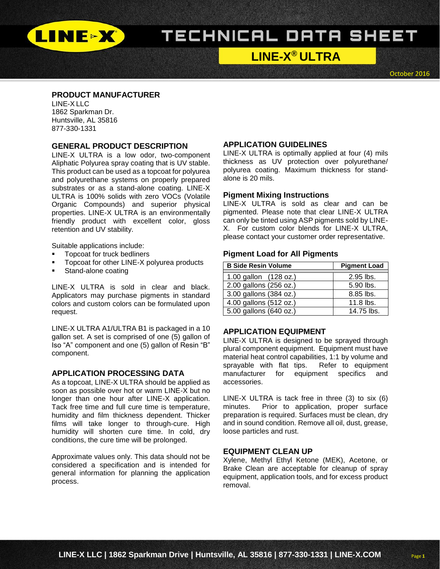

# TECHNICAL DATA SHEET

# **LINE-X ® ULTRA**

October 2016

# **PRODUCT MANUFACTURER**

LINE-X LLC 1862 Sparkman Dr. Huntsville, AL 35816 877-330-1331

#### **GENERAL PRODUCT DESCRIPTION**

LINE-X ULTRA is a low odor, two-component Aliphatic Polyurea spray coating that is UV stable. This product can be used as a topcoat for polyurea and polyurethane systems on properly prepared substrates or as a stand-alone coating. LINE-X ULTRA is 100% solids with zero VOCs (Volatile Organic Compounds) and superior physical properties. LINE-X ULTRA is an environmentally friendly product with excellent color, gloss retention and UV stability.

Suitable applications include:

- Topcoat for truck bedliners
- Topcoat for other LINE-X polyurea products
- **Stand-alone coating**

LINE-X ULTRA is sold in clear and black. Applicators may purchase pigments in standard colors and custom colors can be formulated upon request.

LINE-X ULTRA A1/ULTRA B1 is packaged in a 10 gallon set. A set is comprised of one (5) gallon of Iso "A" component and one (5) gallon of Resin "B" component.

#### **APPLICATION PROCESSING DATA**

As a topcoat, LINE-X ULTRA should be applied as soon as possible over hot or warm LINE-X but no longer than one hour after LINE-X application. Tack free time and full cure time is temperature, humidity and film thickness dependent. Thicker films will take longer to through-cure. High humidity will shorten cure time. In cold, dry conditions, the cure time will be prolonged.

Approximate values only. This data should not be considered a specification and is intended for general information for planning the application process.

#### **APPLICATION GUIDELINES**

LINE-X ULTRA is optimally applied at four (4) mils thickness as UV protection over polyurethane/ polyurea coating. Maximum thickness for standalone is 20 mils.

#### **Pigment Mixing Instructions**

LINE-X ULTRA is sold as clear and can be pigmented. Please note that clear LINE-X ULTRA can only be tinted using ASP pigments sold by LINE-X. For custom color blends for LINE-X ULTRA, please contact your customer order representative.

#### **Pigment Load for All Pigments**

| <b>B Side Resin Volume</b> | <b>Pigment Load</b> |
|----------------------------|---------------------|
| 1.00 gallon (128 oz.)      | 2.95 lbs.           |
| 2.00 gallons (256 oz.)     | 5.90 lbs.           |
|                            |                     |
| 3.00 gallons (384 oz.)     | 8.85 lbs.           |
| 4.00 gallons (512 oz.)     | 11.8 lbs.           |
| 5.00 gallons (640 oz.)     | 14.75 lbs.          |

## **APPLICATION EQUIPMENT**

LINE-X ULTRA is designed to be sprayed through plural component equipment. Equipment must have material heat control capabilities, 1:1 by volume and sprayable with flat tips. Refer to equipment manufacturer for equipment specifics and accessories.

LINE-X ULTRA is tack free in three (3) to six (6) minutes. Prior to application, proper surface preparation is required. Surfaces must be clean, dry and in sound condition. Remove all oil, dust, grease, loose particles and rust.

#### **EQUIPMENT CLEAN UP**

Xylene, Methyl Ethyl Ketone (MEK), Acetone, or Brake Clean are acceptable for cleanup of spray equipment, application tools, and for excess product removal.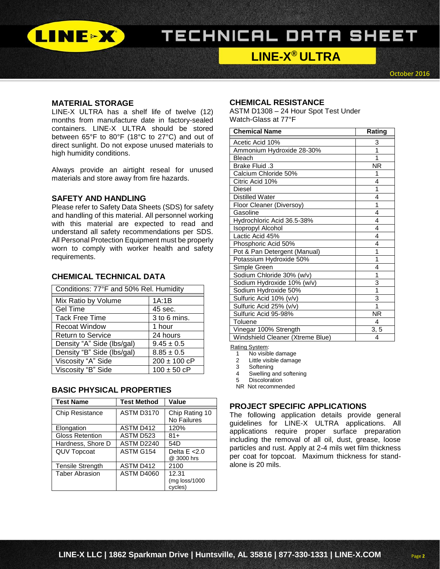

# TECHNICAL DATA SHEET

# **LINE-X ® ULTRA**

October 2016

Page **2**

### **MATERIAL STORAGE**

LINE-X ULTRA has a shelf life of twelve (12) months from manufacture date in factory-sealed containers. LINE-X ULTRA should be stored between 65°F to 80°F (18°C to 27°C) and out of direct sunlight. Do not expose unused materials to high humidity conditions.

Always provide an airtight reseal for unused materials and store away from fire hazards.

#### **SAFETY AND HANDLING**

Please refer to Safety Data Sheets (SDS) for safety and handling of this material. All personnel working with this material are expected to read and understand all safety recommendations per SDS. All Personal Protection Equipment must be properly worn to comply with worker health and safety requirements.

# **CHEMICAL TECHNICAL DATA**

| Conditions: 77°F and 50% Rel. Humidity |                  |  |
|----------------------------------------|------------------|--|
| Mix Ratio by Volume                    | 1A:1B            |  |
| <b>Gel Time</b>                        | 45 sec.          |  |
| <b>Tack Free Time</b>                  | 3 to 6 mins.     |  |
| <b>Recoat Window</b>                   | 1 hour           |  |
| <b>Return to Service</b>               | 24 hours         |  |
| Density "A" Side (lbs/gal)             | $9.45 \pm 0.5$   |  |
| Density "B" Side (lbs/gal)             | $8.85 \pm 0.5$   |  |
| Viscosity "A" Side                     | $200 \pm 100$ cP |  |
| Viscosity "B" Side                     | $100 \pm 50$ cP  |  |

## **BASIC PHYSICAL PROPERTIES**

| <b>Test Name</b>        | <b>Test Method</b> | Value                                        |
|-------------------------|--------------------|----------------------------------------------|
| Chip Resistance         | <b>ASTM D3170</b>  | Chip Rating 10<br>No Failures                |
| Elongation              | ASTM D412          | 120%                                         |
| <b>Gloss Retention</b>  | ASTM D523          | $81 +$                                       |
| Hardness, Shore D       | ASTM D2240         | 54D                                          |
| <b>QUV Topcoat</b>      | ASTM G154          | Delta $E < 2.0$<br>@ 3000 hrs                |
| <b>Tensile Strength</b> | ASTM D412          | 2100                                         |
| <b>Taber Abrasion</b>   | <b>ASTM D4060</b>  | 12.31<br>$(mg \text{ loss}/1000)$<br>cycles) |

# **CHEMICAL RESISTANCE**

ASTM D1308 – 24 Hour Spot Test Under Watch-Glass at 77°F

| <b>Chemical Name</b>             | Rating    |
|----------------------------------|-----------|
| Acetic Acid 10%                  | 3         |
| Ammonium Hydroxide 28-30%        | 1         |
| Bleach                           | 1         |
| <b>Brake Fluid .3</b>            | <b>NR</b> |
| Calcium Chloride 50%             | 1         |
| Citric Acid 10%                  | 4         |
| <b>Diesel</b>                    | 1         |
| <b>Distilled Water</b>           | 4         |
| Floor Cleaner (Diversoy)         | 1         |
| Gasoline                         | 4         |
| Hydrochloric Acid 36.5-38%       | 4         |
| Isopropyl Alcohol                | 4         |
| Lactic Acid 45%                  | 4         |
| Phosphoric Acid 50%              | 4         |
| Pot & Pan Detergent (Manual)     | 1         |
| Potassium Hydroxide 50%          | 1         |
| Simple Green                     | 4         |
| Sodium Chloride 30% (w/v)        | 1         |
| Sodium Hydroxide 10% (w/v)       | 3         |
| Sodium Hydroxide 50%             | 1         |
| Sulfuric Acid 10% (v/v)          | 3         |
| Sulfuric Acid 25% (v/v)          | 1         |
| Sulfuric Acid 95-98%             | <b>NR</b> |
| Toluene                          | 4         |
| Vinegar 100% Strength            | 3, 5      |
| Windshield Cleaner (Xtreme Blue) | 4         |

Rating System:<br>1 No visib

- 1 No visible damage<br>2 little visible damage
- Little visible damage
- 3 Softening
- 4 Swelling and softening<br>5 Discoloration
- **Discoloration**

NR Not recommended

#### **PROJECT SPECIFIC APPLICATIONS**

The following application details provide general guidelines for LINE-X ULTRA applications. All applications require proper surface preparation including the removal of all oil, dust, grease, loose particles and rust. Apply at 2-4 mils wet film thickness per coat for topcoat. Maximum thickness for standalone is 20 mils.